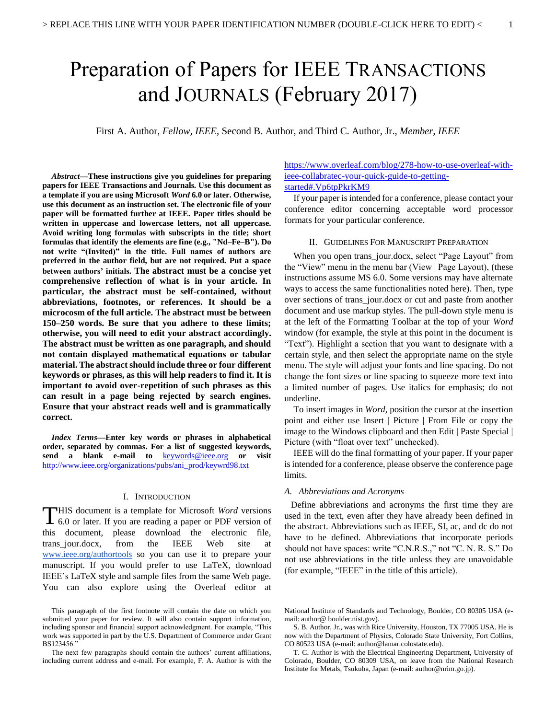# Preparation of Papers for IEEE TRANSACTIONS and JOURNALS (February 2017)

First A. Author, *Fellow, IEEE*, Second B. Author, and Third C. Author, Jr., *Member, IEEE*

*Abstract***—These instructions give you guidelines for preparing papers for IEEE Transactions and Journals***.* **Use this document as a template if you are using Microsoft** *Word* **6.0 or later. Otherwise, use this document as an instruction set. The electronic file of your paper will be formatted further at IEEE. Paper titles should be written in uppercase and lowercase letters, not all uppercase. Avoid writing long formulas with subscripts in the title; short formulas that identify the elements are fine (e.g., "Nd–Fe–B"). Do not write "(Invited)" in the title. Full names of authors are preferred in the author field, but are not required. Put a space between authors' initials. The abstract must be a concise yet comprehensive reflection of what is in your article. In particular, the abstract must be self-contained, without abbreviations, footnotes, or references. It should be a microcosm of the full article. The abstract must be between 150–250 words. Be sure that you adhere to these limits; otherwise, you will need to edit your abstract accordingly. The abstract must be written as one paragraph, and should not contain displayed mathematical equations or tabular material. The abstract should include three or four different keywords or phrases, as this will help readers to find it. It is important to avoid over-repetition of such phrases as this can result in a page being rejected by search engines. Ensure that your abstract reads well and is grammatically correct.**

*Index Terms***—Enter key words or phrases in alphabetical order, separated by commas. For a list of suggested keywords, send a blank e-mail to** [keywords@ieee.org](mailto:keywords@ieee.org) **or visit**  [http://www.ieee.org/organizations/pubs/ani\\_prod/keywrd98.txt](http://www.ieee.org/organizations/pubs/ani_prod/keywrd98.txt)

# I. INTRODUCTION

**THIS** document is a template for Microsoft *Word* versions THIS document is a template for Microsoft *Word* versions 6.0 or later. If you are reading a paper or PDF version of this document, please download the electronic file, trans\_jour.docx, from the IEEE Web site at [www.ieee.org/authortools](http://www.ieee.org/authortools) so you can use it to prepare your manuscript. If you would prefer to use LaTeX, download IEEE's LaTeX style and sample files from the same Web page. You can also explore using the Overleaf editor at

# [https://www.overleaf.com/blog/278-how-to-use-overleaf-with](https://www.overleaf.com/blog/278-how-to-use-overleaf-with-ieee-collabratec-your-quick-guide-to-getting-started%23.Vp6tpPkrKM9)[ieee-collabratec-your-quick-guide-to-getting](https://www.overleaf.com/blog/278-how-to-use-overleaf-with-ieee-collabratec-your-quick-guide-to-getting-started%23.Vp6tpPkrKM9)[started#.Vp6tpPkrKM9](https://www.overleaf.com/blog/278-how-to-use-overleaf-with-ieee-collabratec-your-quick-guide-to-getting-started%23.Vp6tpPkrKM9)

If your paper is intended for a conference*,* please contact your conference editor concerning acceptable word processor formats for your particular conference.

# II. GUIDELINES FOR MANUSCRIPT PREPARATION

When you open trans jour.docx, select "Page Layout" from the "View" menu in the menu bar (View | Page Layout), (these instructions assume MS 6.0. Some versions may have alternate ways to access the same functionalities noted here). Then, type over sections of trans\_jour.docx or cut and paste from another document and use markup styles. The pull-down style menu is at the left of the Formatting Toolbar at the top of your *Word* window (for example, the style at this point in the document is "Text"). Highlight a section that you want to designate with a certain style, and then select the appropriate name on the style menu. The style will adjust your fonts and line spacing. Do not change the font sizes or line spacing to squeeze more text into a limited number of pages. Use italics for emphasis; do not underline.

To insert images in *Word,* position the cursor at the insertion point and either use Insert | Picture | From File or copy the image to the Windows clipboard and then Edit | Paste Special | Picture (with "float over text" unchecked).

IEEE will do the final formatting of your paper. If your paper is intended for a conference, please observe the conference page limits.

#### *A. Abbreviations and Acronyms*

Define abbreviations and acronyms the first time they are used in the text, even after they have already been defined in the abstract. Abbreviations such as IEEE, SI, ac, and dc do not have to be defined. Abbreviations that incorporate periods should not have spaces: write "C.N.R.S.," not "C. N. R. S." Do not use abbreviations in the title unless they are unavoidable (for example, "IEEE" in the title of this article).

This paragraph of the first footnote will contain the date on which you submitted your paper for review. It will also contain support information, including sponsor and financial support acknowledgment. For example, "This work was supported in part by the U.S. Department of Commerce under Grant BS123456."

The next few paragraphs should contain the authors' current affiliations, including current address and e-mail. For example, F. A. Author is with the

National Institute of Standards and Technology, Boulder, CO 80305 USA (email: author@ boulder.nist.gov).

S. B. Author, Jr., was with Rice University, Houston, TX 77005 USA. He is now with the Department of Physics, Colorado State University, Fort Collins, CO 80523 USA (e-mail: author@lamar.colostate.edu).

T. C. Author is with the Electrical Engineering Department, University of Colorado, Boulder, CO 80309 USA, on leave from the National Research Institute for Metals, Tsukuba, Japan (e-mail: author@nrim.go.jp).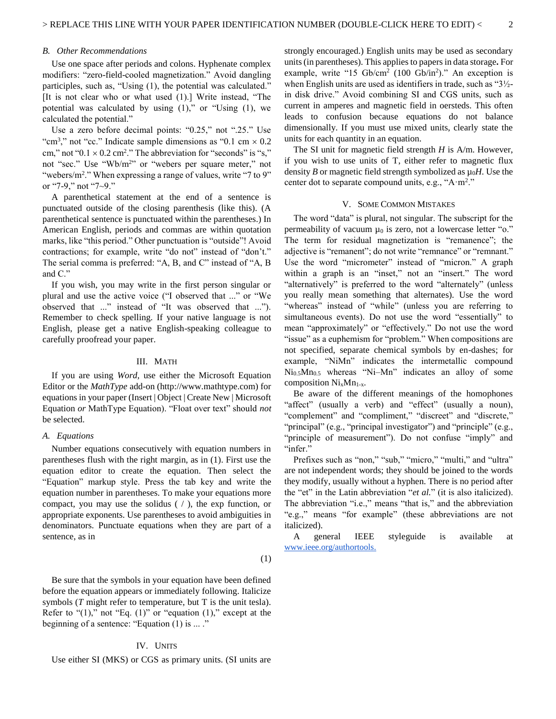# *B. Other Recommendations*

Use one space after periods and colons. Hyphenate complex modifiers: "zero-field-cooled magnetization." Avoid dangling participles, such as, "Using (1), the potential was calculated." [It is not clear who or what used (1).] Write instead, "The potential was calculated by using  $(1)$ ," or "Using  $(1)$ , we calculated the potential."

Use a zero before decimal points: "0.25," not ".25." Use "cm<sup>3</sup>," not "cc." Indicate sample dimensions as "0.1 cm  $\times$  0.2 cm," not " $0.1 \times 0.2$  cm<sup>2</sup>." The abbreviation for "seconds" is "s," not "sec." Use "Wb/m<sup>2</sup> " or "webers per square meter," not "webers/m<sup>2</sup>." When expressing a range of values, write "7 to 9" or "7-9," not "7~9."

A parenthetical statement at the end of a sentence is punctuated outside of the closing parenthesis (like this). (A parenthetical sentence is punctuated within the parentheses.) In American English, periods and commas are within quotation marks, like "this period." Other punctuation is "outside"! Avoid contractions; for example, write "do not" instead of "don't." The serial comma is preferred: "A, B, and C" instead of "A, B and C."

If you wish, you may write in the first person singular or plural and use the active voice ("I observed that ..." or "We observed that ..." instead of "It was observed that ..."). Remember to check spelling. If your native language is not English, please get a native English-speaking colleague to carefully proofread your paper.

## III. MATH

If you are using *Word,* use either the Microsoft Equation Editor or the *MathType* add-on (http://www.mathtype.com) for equations in your paper (Insert | Object | Create New | Microsoft Equation *or* MathType Equation). "Float over text" should *not* be selected.

## *A. Equations*

Number equations consecutively with equation numbers in parentheses flush with the right margin, as in (1). First use the equation editor to create the equation. Then select the "Equation" markup style. Press the tab key and write the equation number in parentheses. To make your equations more compact, you may use the solidus ( / ), the exp function, or appropriate exponents. Use parentheses to avoid ambiguities in denominators. Punctuate equations when they are part of a sentence, as in

$$
f_{\rm{max}}
$$

(1)

Be sure that the symbols in your equation have been defined before the equation appears or immediately following. Italicize symbols (*T* might refer to temperature, but T is the unit tesla). Refer to " $(1)$ ," not "Eq.  $(1)$ " or "equation  $(1)$ ," except at the beginning of a sentence: "Equation (1) is ... ."

## IV. UNITS

Use either SI (MKS) or CGS as primary units. (SI units are

strongly encouraged.) English units may be used as secondary units (in parentheses). This applies to papers in data storage**.** For example, write "15  $Gb/cm^2$  (100  $Gb/in^2$ )." An exception is when English units are used as identifiers in trade, such as "3½ in disk drive." Avoid combining SI and CGS units, such as current in amperes and magnetic field in oersteds. This often leads to confusion because equations do not balance dimensionally. If you must use mixed units, clearly state the units for each quantity in an equation.

The SI unit for magnetic field strength *H* is A/m. However, if you wish to use units of T, either refer to magnetic flux density *B* or magnetic field strength symbolized as  $\mu_0H$ . Use the center dot to separate compound units, e.g., " $A \cdot m^2$ ."

## V. SOME COMMON MISTAKES

The word "data" is plural, not singular. The subscript for the permeability of vacuum  $\mu_0$  is zero, not a lowercase letter "o." The term for residual magnetization is "remanence"; the adjective is "remanent"; do not write "remnance" or "remnant." Use the word "micrometer" instead of "micron." A graph within a graph is an "inset," not an "insert." The word "alternatively" is preferred to the word "alternately" (unless you really mean something that alternates). Use the word "whereas" instead of "while" (unless you are referring to simultaneous events). Do not use the word "essentially" to mean "approximately" or "effectively." Do not use the word "issue" as a euphemism for "problem." When compositions are not specified, separate chemical symbols by en-dashes; for example, "NiMn" indicates the intermetallic compound  $Ni<sub>0.5</sub>Mn<sub>0.5</sub>$  whereas "Ni–Mn" indicates an alloy of some composition  $Ni_xMn_{1-x}$ .

Be aware of the different meanings of the homophones "affect" (usually a verb) and "effect" (usually a noun), "complement" and "compliment," "discreet" and "discrete," "principal" (e.g., "principal investigator") and "principle" (e.g., "principle of measurement"). Do not confuse "imply" and "infer."

Prefixes such as "non," "sub," "micro," "multi," and "ultra" are not independent words; they should be joined to the words they modify, usually without a hyphen. There is no period after the "et" in the Latin abbreviation "*et al.*" (it is also italicized). The abbreviation "i.e.," means "that is," and the abbreviation "e.g.," means "for example" (these abbreviations are not italicized).

A general IEEE styleguide is available at [www.ieee.org/authortools.](http://www.ieee.org/authortools)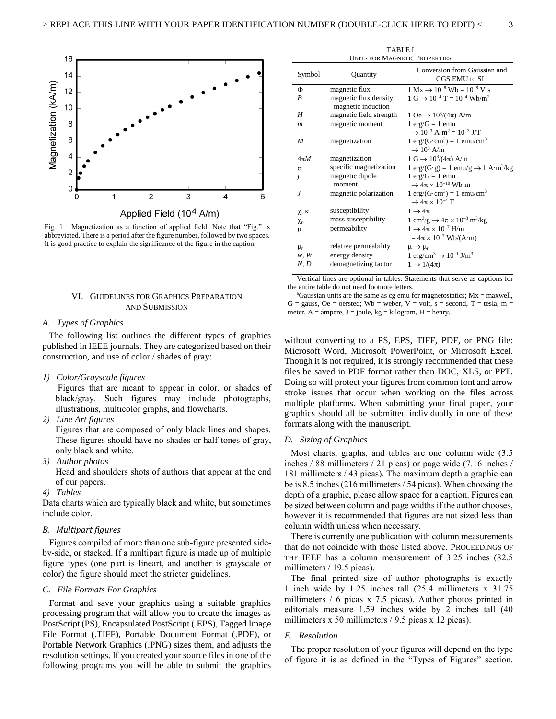

Fig. 1. Magnetization as a function of applied field. Note that "Fig." is abbreviated. There is a period after the figure number, followed by two spaces. It is good practice to explain the significance of the figure in the caption.

# VI. GUIDELINES FOR GRAPHICS PREPARATION AND SUBMISSION

# *A. Types of Graphics*

The following list outlines the different types of graphics published in IEEE journals. They are categorized based on their construction, and use of color / shades of gray:

*1) Color/Grayscale figures*

Figures that are meant to appear in color, or shades of black/gray. Such figures may include photographs, illustrations, multicolor graphs, and flowcharts.

*2) Line Art figures*

Figures that are composed of only black lines and shapes. These figures should have no shades or half-tones of gray, only black and white.

*3) Author photos*

Head and shoulders shots of authors that appear at the end of our papers.

*4) Tables*

Data charts which are typically black and white, but sometimes include color.

# *B. Multipart figures*

Figures compiled of more than one sub-figure presented sideby-side, or stacked. If a multipart figure is made up of multiple figure types (one part is lineart, and another is grayscale or color) the figure should meet the stricter guidelines.

# *C. File Formats For Graphics*

Format and save your graphics using a suitable graphics processing program that will allow you to create the images as PostScript (PS), Encapsulated PostScript (.EPS), Tagged Image File Format (.TIFF), Portable Document Format (.PDF), or Portable Network Graphics (.PNG) sizes them, and adjusts the resolution settings. If you created your source files in one of the following programs you will be able to submit the graphics

| TABLET<br><b>UNITS FOR MAGNETIC PROPERTIES</b> |                  |                                              |                                                                                         |
|------------------------------------------------|------------------|----------------------------------------------|-----------------------------------------------------------------------------------------|
|                                                | Symbol           | Quantity                                     | Conversion from Gaussian and<br>CGS EMU to SI <sup>a</sup>                              |
|                                                | Φ                | magnetic flux                                | $1 \text{ Mx} \rightarrow 10^{-8} \text{ Wb} = 10^{-8} \text{ V} \cdot \text{s}$        |
|                                                | B                | magnetic flux density,<br>magnetic induction | $1 \text{ G} \rightarrow 10^{-4} \text{ T} = 10^{-4} \text{ Wb/m}^2$                    |
|                                                | Н                | magnetic field strength                      | 1 Oe $\rightarrow$ 10 <sup>3</sup> /(4 $\pi$ ) A/m                                      |
|                                                | $\boldsymbol{m}$ | magnetic moment                              | $1 \text{ erg/G} = 1 \text{ emu}$                                                       |
|                                                |                  |                                              | $\rightarrow 10^{-3}$ A·m <sup>2</sup> = 10 <sup>-3</sup> J/T                           |
|                                                | M                | magnetization                                | $1 \text{ erg/(G·cm}^3) = 1 \text{ emu/cm}^3$<br>$\rightarrow 10^3$ A/m                 |
|                                                | $4\pi M$         | magnetization                                | $1 \text{ G} \rightarrow 10^{3}/(4\pi) \text{ A/m}$                                     |
|                                                | $\sigma$         | specific magnetization                       | $1 \text{ erg/(G·g)} = 1 \text{ emu/g} \rightarrow 1 \text{ A·m}^2/\text{kg}$           |
|                                                | $\dot{i}$        | magnetic dipole<br>moment                    | $1 \text{ erg/G} = 1 \text{ emu}$<br>$\rightarrow$ 4 $\pi \times 10^{-10}$ Wb·m         |
|                                                | $\overline{J}$   | magnetic polarization                        | $1 \text{ erg/(G·cm}^3) = 1 \text{ emu/cm}^3$<br>$\rightarrow$ 4 $\pi \times 10^{-4}$ T |
|                                                | χ, κ             | susceptibility                               | $1 \rightarrow 4\pi$                                                                    |
|                                                | $\chi_{\rho}$    | mass susceptibility                          | $1 \text{ cm}^3\text{/g} \rightarrow 4\pi \times 10^{-3} \text{ m}^3\text{/kg}$         |
|                                                | μ                | permeability                                 | $1 \rightarrow 4\pi \times 10^{-7}$ H/m                                                 |
|                                                |                  |                                              | $= 4\pi \times 10^{-7}$ Wb/(A·m)                                                        |
|                                                | $\mu_{\rm r}$    | relative permeability                        | $\mu \rightarrow \mu_r$                                                                 |
|                                                | w, W             | energy density                               | 1 erg/cm <sup>3</sup> $\rightarrow$ 10 <sup>-1</sup> J/m <sup>3</sup>                   |
|                                                | N, D             | demagnetizing factor                         | $1 \rightarrow 1/(4\pi)$                                                                |
|                                                |                  |                                              |                                                                                         |

 $T_{\rm T}$ 

Vertical lines are optional in tables. Statements that serve as captions for the entire table do not need footnote letters.

<sup>a</sup>Gaussian units are the same as  $cg$  emu for magnetostatics;  $Mx = maxwell$ ,  $G =$  gauss, Oe = oersted; Wb = weber, V = volt, s = second, T = tesla, m = meter,  $A =$  ampere,  $J =$  joule,  $kg =$  kilogram,  $H =$  henry.

without converting to a PS, EPS, TIFF, PDF, or PNG file: Microsoft Word, Microsoft PowerPoint, or Microsoft Excel. Though it is not required, it is strongly recommended that these files be saved in PDF format rather than DOC, XLS, or PPT. Doing so will protect your figures from common font and arrow stroke issues that occur when working on the files across multiple platforms. When submitting your final paper, your graphics should all be submitted individually in one of these formats along with the manuscript.

# *D. Sizing of Graphics*

Most charts, graphs, and tables are one column wide (3.5 inches / 88 millimeters / 21 picas) or page wide (7.16 inches / 181 millimeters / 43 picas). The maximum depth a graphic can be is 8.5 inches (216 millimeters / 54 picas). When choosing the depth of a graphic, please allow space for a caption. Figures can be sized between column and page widths if the author chooses, however it is recommended that figures are not sized less than column width unless when necessary.

There is currently one publication with column measurements that do not coincide with those listed above. PROCEEDINGS OF THE IEEE has a column measurement of 3.25 inches (82.5 millimeters / 19.5 picas).

The final printed size of author photographs is exactly 1 inch wide by 1.25 inches tall (25.4 millimeters x 31.75 millimeters / 6 picas x 7.5 picas). Author photos printed in editorials measure 1.59 inches wide by 2 inches tall (40 millimeters x 50 millimeters / 9.5 picas x 12 picas).

# *E. Resolution*

The proper resolution of your figures will depend on the type of figure it is as defined in the "Types of Figures" section.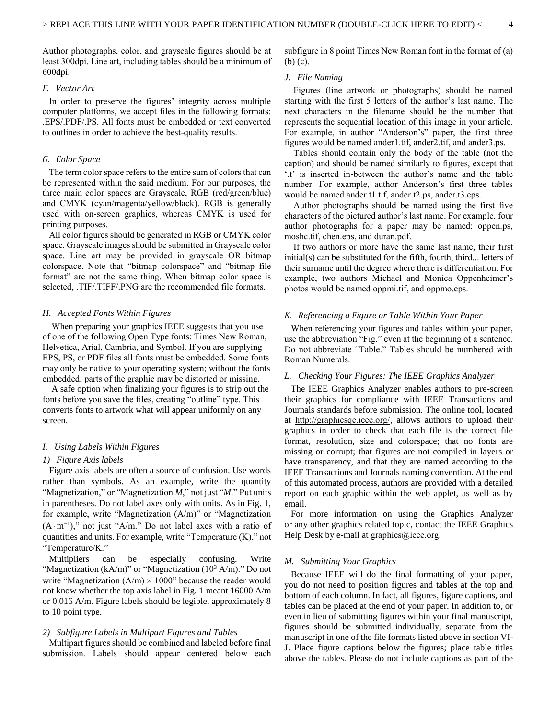Author photographs, color, and grayscale figures should be at least 300dpi. Line art, including tables should be a minimum of 600dpi.

## *F. Vector Art*

In order to preserve the figures' integrity across multiple computer platforms, we accept files in the following formats: .EPS/.PDF/.PS. All fonts must be embedded or text converted to outlines in order to achieve the best-quality results.

# *G. Color Space*

The term color space refers to the entire sum of colors that can be represented within the said medium. For our purposes, the three main color spaces are Grayscale, RGB (red/green/blue) and CMYK (cyan/magenta/yellow/black). RGB is generally used with on-screen graphics, whereas CMYK is used for printing purposes.

All color figures should be generated in RGB or CMYK color space. Grayscale images should be submitted in Grayscale color space. Line art may be provided in grayscale OR bitmap colorspace. Note that "bitmap colorspace" and "bitmap file format" are not the same thing. When bitmap color space is selected, .TIF/.TIFF/.PNG are the recommended file formats.

# *H. Accepted Fonts Within Figures*

When preparing your graphics IEEE suggests that you use of one of the following Open Type fonts: Times New Roman, Helvetica, Arial, Cambria, and Symbol. If you are supplying EPS, PS, or PDF files all fonts must be embedded. Some fonts may only be native to your operating system; without the fonts embedded, parts of the graphic may be distorted or missing.

A safe option when finalizing your figures is to strip out the fonts before you save the files, creating "outline" type. This converts fonts to artwork what will appear uniformly on any screen.

#### *I. Using Labels Within Figures*

# *1) Figure Axis labels*

Figure axis labels are often a source of confusion. Use words rather than symbols. As an example, write the quantity "Magnetization," or "Magnetization *M*," not just "*M*." Put units in parentheses. Do not label axes only with units. As in Fig. 1, for example, write "Magnetization (A/m)" or "Magnetization  $(A \cdot m^{-1})$ ," not just "A/m." Do not label axes with a ratio of quantities and units. For example, write "Temperature (K)," not "Temperature/K."

Multipliers can be especially confusing. Write "Magnetization (kA/m)" or "Magnetization (10<sup>3</sup> A/m)." Do not write "Magnetization  $(A/m) \times 1000$ " because the reader would not know whether the top axis label in Fig. 1 meant 16000 A/m or 0.016 A/m. Figure labels should be legible, approximately 8 to 10 point type.

## *2) Subfigure Labels in Multipart Figures and Tables*

Multipart figures should be combined and labeled before final submission. Labels should appear centered below each

subfigure in 8 point Times New Roman font in the format of (a) (b) (c).

# *J. File Naming*

Figures (line artwork or photographs) should be named starting with the first 5 letters of the author's last name. The next characters in the filename should be the number that represents the sequential location of this image in your article. For example, in author "Anderson's" paper, the first three figures would be named ander1.tif, ander2.tif, and ander3.ps.

Tables should contain only the body of the table (not the caption) and should be named similarly to figures, except that '.t' is inserted in-between the author's name and the table number. For example, author Anderson's first three tables would be named ander.t1.tif, ander.t2.ps, ander.t3.eps.

Author photographs should be named using the first five characters of the pictured author's last name. For example, four author photographs for a paper may be named: oppen.ps, moshc.tif, chen.eps, and duran.pdf.

If two authors or more have the same last name, their first initial(s) can be substituted for the fifth, fourth, third... letters of their surname until the degree where there is differentiation. For example, two authors Michael and Monica Oppenheimer's photos would be named oppmi.tif, and oppmo.eps.

## *K. Referencing a Figure or Table Within Your Paper*

When referencing your figures and tables within your paper, use the abbreviation "Fig." even at the beginning of a sentence. Do not abbreviate "Table." Tables should be numbered with Roman Numerals.

#### *L. Checking Your Figures: The IEEE Graphics Analyzer*

The IEEE Graphics Analyzer enables authors to pre-screen their graphics for compliance with IEEE Transactions and Journals standards before submission. The online tool, located at <http://graphicsqc.ieee.org/>, allows authors to upload their graphics in order to check that each file is the correct file format, resolution, size and colorspace; that no fonts are missing or corrupt; that figures are not compiled in layers or have transparency, and that they are named according to the IEEE Transactions and Journals naming convention. At the end of this automated process, authors are provided with a detailed report on each graphic within the web applet, as well as by email.

For more information on using the Graphics Analyzer or any other graphics related topic, contact the IEEE Graphics Help Desk by e-mail at  $graphics@ieee.org$ .

# *M. Submitting Your Graphics*

Because IEEE will do the final formatting of your paper, you do not need to position figures and tables at the top and bottom of each column. In fact, all figures, figure captions, and tables can be placed at the end of your paper. In addition to, or even in lieu of submitting figures within your final manuscript, figures should be submitted individually, separate from the manuscript in one of the file formats listed above in section VI-J. Place figure captions below the figures; place table titles above the tables. Please do not include captions as part of the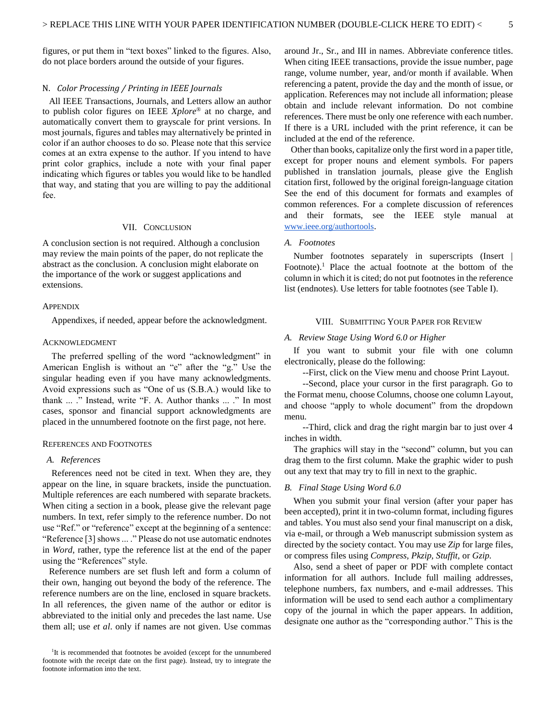figures, or put them in "text boxes" linked to the figures. Also, do not place borders around the outside of your figures.

# N. *Color Processing / Printing in IEEE Journals*

All IEEE Transactions, Journals, and Letters allow an author to publish color figures on IEEE *Xplore*® at no charge, and automatically convert them to grayscale for print versions. In most journals, figures and tables may alternatively be printed in color if an author chooses to do so. Please note that this service comes at an extra expense to the author. If you intend to have print color graphics, include a note with your final paper indicating which figures or tables you would like to be handled that way, and stating that you are willing to pay the additional fee.

#### VII. CONCLUSION

A conclusion section is not required. Although a conclusion may review the main points of the paper, do not replicate the abstract as the conclusion. A conclusion might elaborate on the importance of the work or suggest applications and extensions.

#### **APPENDIX**

Appendixes, if needed, appear before the acknowledgment.

#### ACKNOWLEDGMENT

The preferred spelling of the word "acknowledgment" in American English is without an "e" after the "g." Use the singular heading even if you have many acknowledgments. Avoid expressions such as "One of us (S.B.A.) would like to thank ... ." Instead, write "F. A. Author thanks ... ." In most cases, sponsor and financial support acknowledgments are placed in the unnumbered footnote on the first page, not here.

# REFERENCES AND FOOTNOTES

## *A. References*

References need not be cited in text. When they are, they appear on the line, in square brackets, inside the punctuation. Multiple references are each numbered with separate brackets. When citing a section in a book, please give the relevant page numbers. In text, refer simply to the reference number. Do not use "Ref." or "reference" except at the beginning of a sentence: "Reference [3] shows ... ." Please do not use automatic endnotes in *Word*, rather, type the reference list at the end of the paper using the "References" style.

Reference numbers are set flush left and form a column of their own, hanging out beyond the body of the reference. The reference numbers are on the line, enclosed in square brackets. In all references, the given name of the author or editor is abbreviated to the initial only and precedes the last name. Use them all; use *et al*. only if names are not given. Use commas

around Jr., Sr., and III in names. Abbreviate conference titles. When citing IEEE transactions, provide the issue number, page range, volume number, year, and/or month if available. When referencing a patent, provide the day and the month of issue, or application. References may not include all information; please obtain and include relevant information. Do not combine references. There must be only one reference with each number. If there is a URL included with the print reference, it can be included at the end of the reference.

Other than books, capitalize only the first word in a paper title, except for proper nouns and element symbols. For papers published in translation journals, please give the English citation first, followed by the original foreign-language citation See the end of this document for formats and examples of common references. For a complete discussion of references and their formats, see the IEEE style manual at [www.ieee.org/authortools](http://www.ieee.org/authortools).

# *A. Footnotes*

Number footnotes separately in superscripts (Insert | Footnote).<sup>1</sup> Place the actual footnote at the bottom of the column in which it is cited; do not put footnotes in the reference list (endnotes). Use letters for table footnotes (see Table I).

# VIII. SUBMITTING YOUR PAPER FOR REVIEW

## *A. Review Stage Using Word 6.0 or Higher*

If you want to submit your file with one column electronically, please do the following:

--First, click on the View menu and choose Print Layout.

--Second, place your cursor in the first paragraph. Go to the Format menu, choose Columns, choose one column Layout, and choose "apply to whole document" from the dropdown menu.

--Third, click and drag the right margin bar to just over 4 inches in width.

The graphics will stay in the "second" column, but you can drag them to the first column. Make the graphic wider to push out any text that may try to fill in next to the graphic.

# *B. Final Stage Using Word 6.0*

When you submit your final version (after your paper has been accepted), print it in two-column format, including figures and tables. You must also send your final manuscript on a disk, via e-mail, or through a Web manuscript submission system as directed by the society contact. You may use *Zip* for large files, or compress files using *Compress, Pkzip, Stuffit,* or *Gzip.*

Also, send a sheet of paper or PDF with complete contact information for all authors. Include full mailing addresses, telephone numbers, fax numbers, and e-mail addresses. This information will be used to send each author a complimentary copy of the journal in which the paper appears. In addition, designate one author as the "corresponding author." This is the

<sup>&</sup>lt;sup>1</sup>It is recommended that footnotes be avoided (except for the unnumbered footnote with the receipt date on the first page). Instead, try to integrate the footnote information into the text.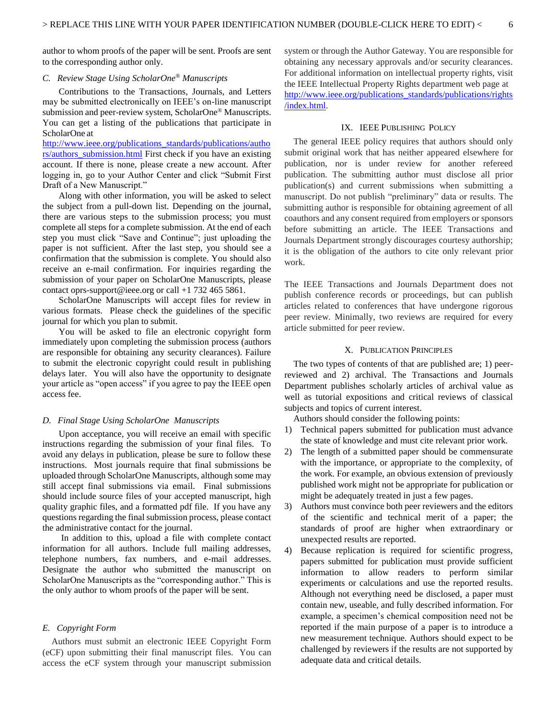author to whom proofs of the paper will be sent. Proofs are sent to the corresponding author only.

# *C. Review Stage Using ScholarOne® Manuscripts*

Contributions to the Transactions, Journals, and Letters may be submitted electronically on IEEE's on-line manuscript submission and peer-review system, ScholarOne® Manuscripts. You can get a listing of the publications that participate in ScholarOne at

[http://www.ieee.org/publications\\_standards/publications/autho](http://www.ieee.org/publications_standards/publications/authors/authors_submission.html) [rs/authors\\_submission.html](http://www.ieee.org/publications_standards/publications/authors/authors_submission.html) First check if you have an existing account. If there is none, please create a new account. After logging in, go to your Author Center and click "Submit First Draft of a New Manuscript."

Along with other information, you will be asked to select the subject from a pull-down list. Depending on the journal, there are various steps to the submission process; you must complete all steps for a complete submission. At the end of each step you must click "Save and Continue"; just uploading the paper is not sufficient. After the last step, you should see a confirmation that the submission is complete. You should also receive an e-mail confirmation. For inquiries regarding the submission of your paper on ScholarOne Manuscripts, please contact oprs-support@ieee.org or call +1 732 465 5861.

ScholarOne Manuscripts will accept files for review in various formats. Please check the guidelines of the specific journal for which you plan to submit.

You will be asked to file an electronic copyright form immediately upon completing the submission process (authors are responsible for obtaining any security clearances). Failure to submit the electronic copyright could result in publishing delays later. You will also have the opportunity to designate your article as "open access" if you agree to pay the IEEE open access fee.

# *D. Final Stage Using ScholarOne Manuscripts*

Upon acceptance, you will receive an email with specific instructions regarding the submission of your final files. To avoid any delays in publication, please be sure to follow these instructions. Most journals require that final submissions be uploaded through ScholarOne Manuscripts, although some may still accept final submissions via email. Final submissions should include source files of your accepted manuscript, high quality graphic files, and a formatted pdf file. If you have any questions regarding the final submission process, please contact the administrative contact for the journal.

In addition to this, upload a file with complete contact information for all authors. Include full mailing addresses, telephone numbers, fax numbers, and e-mail addresses. Designate the author who submitted the manuscript on ScholarOne Manuscripts as the "corresponding author." This is the only author to whom proofs of the paper will be sent.

# *E. Copyright Form*

Authors must submit an electronic IEEE Copyright Form (eCF) upon submitting their final manuscript files. You can access the eCF system through your manuscript submission

system or through the Author Gateway. You are responsible for obtaining any necessary approvals and/or security clearances. For additional information on intellectual property rights, visit the IEEE Intellectual Property Rights department web page at [http://www.ieee.org/publications\\_standards/publications/rights](http://www.ieee.org/publications_standards/publications/rights/index.html) [/index.html.](http://www.ieee.org/publications_standards/publications/rights/index.html)

# IX. IEEE PUBLISHING POLICY

The general IEEE policy requires that authors should only submit original work that has neither appeared elsewhere for publication, nor is under review for another refereed publication. The submitting author must disclose all prior publication(s) and current submissions when submitting a manuscript. Do not publish "preliminary" data or results. The submitting author is responsible for obtaining agreement of all coauthors and any consent required from employers or sponsors before submitting an article. The IEEE Transactions and Journals Department strongly discourages courtesy authorship; it is the obligation of the authors to cite only relevant prior work.

The IEEE Transactions and Journals Department does not publish conference records or proceedings, but can publish articles related to conferences that have undergone rigorous peer review. Minimally, two reviews are required for every article submitted for peer review.

# X. PUBLICATION PRINCIPLES

The two types of contents of that are published are; 1) peerreviewed and 2) archival. The Transactions and Journals Department publishes scholarly articles of archival value as well as tutorial expositions and critical reviews of classical subjects and topics of current interest.

Authors should consider the following points:

- 1) Technical papers submitted for publication must advance the state of knowledge and must cite relevant prior work.
- 2) The length of a submitted paper should be commensurate with the importance, or appropriate to the complexity, of the work. For example, an obvious extension of previously published work might not be appropriate for publication or might be adequately treated in just a few pages.
- 3) Authors must convince both peer reviewers and the editors of the scientific and technical merit of a paper; the standards of proof are higher when extraordinary or unexpected results are reported.
- 4) Because replication is required for scientific progress, papers submitted for publication must provide sufficient information to allow readers to perform similar experiments or calculations and use the reported results. Although not everything need be disclosed, a paper must contain new, useable, and fully described information. For example, a specimen's chemical composition need not be reported if the main purpose of a paper is to introduce a new measurement technique. Authors should expect to be challenged by reviewers if the results are not supported by adequate data and critical details.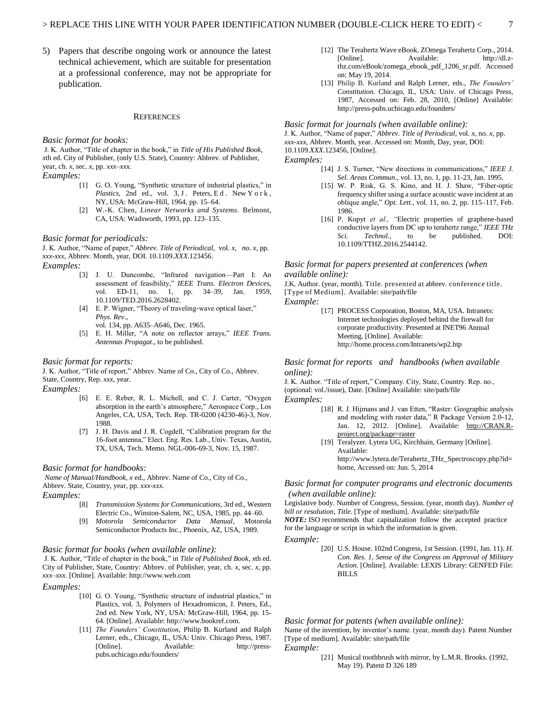5) Papers that describe ongoing work or announce the latest technical achievement, which are suitable for presentation at a professional conference, may not be appropriate for publication.

#### **REFERENCES**

#### *Basic format for books:*

J. K. Author, "Title of chapter in the book," in *Title of His Published Book, x*th ed. City of Publisher, (only U.S. State), Country: Abbrev. of Publisher, year, ch. *x*, sec. *x*, pp. *xxx–xxx.*

*Examples:*

- [1] G. O. Young, "Synthetic structure of industrial plastics," in Plastics, 2nd ed., vol. 3, J. Peters, Ed. New York, NY, USA: McGraw-Hill, 1964, pp. 15–64.
- [2] W.-K. Chen, *Linear Networks and Systems.* Belmont, CA, USA: Wadsworth, 1993, pp. 123–135.

#### *Basic format for periodicals:*

J. K. Author, "Name of paper," *Abbrev. Title of Periodical*, vol. *x, no*. *x,* pp*. xxx-xxx,* Abbrev. Month, year, DOI. 10.1109.*XXX*.123456.

*Examples:*

- [3] J. U. Duncombe, "Infrared navigation—Part I: An assessment of feasibility," *IEEE Trans. Electron Devices*, vol. ED-11, no. 1, pp. 34–39, Jan. 1959, 10.1109/TED.2016.2628402.
- [4] E. P. Wigner, "Theory of traveling-wave optical laser," *Phys. Rev*.,
- vol. 134, pp. A635–A646, Dec. 1965. [5] E. H. Miller, "A note on reflector arrays," *IEEE Trans.*
- *Antennas Propagat*., to be published.

#### *Basic format for reports:*

J. K. Author, "Title of report," Abbrev. Name of Co., City of Co., Abbrev. State, Country, Rep. *xxx*, year.

*Examples:*

- [6] E. E. Reber, R. L. Michell, and C. J. Carter, "Oxygen absorption in the earth's atmosphere," Aerospace Corp., Los Angeles, CA, USA, Tech. Rep. TR-0200 (4230-46)-3, Nov. 1988.
- [7] J. H. Davis and J. R. Cogdell, "Calibration program for the 16-foot antenna," Elect. Eng. Res. Lab., Univ. Texas, Austin, TX, USA, Tech. Memo. NGL-006-69-3, Nov. 15, 1987.

## *Basic format for handbooks:*

*Name of Manual/Handbook, x* ed., Abbrev. Name of Co., City of Co., Abbrev. State, Country, year, pp. *xxx-xxx.*

*Examples:*

- [8] *Transmission Systems for Communications*, 3rd ed., Western Electric Co., Winston-Salem, NC, USA, 1985, pp. 44–60.
- [9] *Motorola Semiconductor Data Manual*, Motorola Semiconductor Products Inc., Phoenix, AZ, USA, 1989.

#### *Basic format for books (when available online):*

J. K. Author, "Title of chapter in the book," in *Title of Published Book*, *x*th ed. City of Publisher, State, Country: Abbrev. of Publisher, year, ch. *x*, sec. *x*, pp. *xxx–xxx*. [Online]. Available: http://www.web.com

*Examples:*

- [10] G. O. Young, "Synthetic structure of industrial plastics," in Plastics, vol. 3, Polymers of Hexadromicon, J. Peters, Ed., 2nd ed. New York, NY, USA: McGraw-Hill, 1964, pp. 15- 64. [Online]. Available: http://www.bookref.com.
- [11] *The Founders' Constitution*, Philip B. Kurland and Ralph Lerner, eds., Chicago, IL, USA: Univ. Chicago Press, 1987. [Online]. Available: http://presspubs.uchicago.edu/founders/
- [12] The Terahertz Wave eBook. ZOmega Terahertz Corp., 2014. [Online]. Available: http://dl.zthz.com/eBook/zomega\_ebook\_pdf\_1206\_sr.pdf. Accessed on: May 19, 2014.
- [13] Philip B. Kurland and Ralph Lerner, eds., *The Founders' Constitution.* Chicago, IL, USA: Univ. of Chicago Press, 1987, Accessed on: Feb. 28, 2010, [Online] Available: http://press-pubs.uchicago.edu/founders/

#### *Basic format for journals (when available online):*

J. K. Author, "Name of paper," *Abbrev. Title of Periodical*, vol. *x*, no. *x*, pp. *xxx-xxx*, Abbrev. Month, year. Accessed on: Month, Day, year, DOI: 10.1109.*XXX*.123456, [Online].

- *Examples:*
	- [14] J. S. Turner, "New directions in communications," *IEEE J. Sel. Areas Commun*., vol. 13, no. 1, pp. 11-23, Jan. 1995.
	- [15] W. P. Risk, G. S. Kino, and H. J. Shaw, "Fiber-optic frequency shifter using a surface acoustic wave incident at an oblique angle," *Opt. Lett.*, vol. 11, no. 2, pp. 115–117, Feb. 1986.
	- [16] P. Kopyt *et al., "*Electric properties of graphene-based conductive layers from DC up to terahertz range," *IEEE THz Sci. Technol.,* to be published. DOI: 10.1109/TTHZ.2016.2544142.

# *Basic format for papers presented at conferences (when available online):*

J.K. Author. (year, month). Title. presented at abbrev. conference title. [Type of Medium]. Available: site/path/file

*Example:*

[17] PROCESS Corporation, Boston, MA, USA. Intranets: Internet technologies deployed behind the firewall for corporate productivity. Presented at INET96 Annual Meeting. [Online]. Available: http://home.process.com/Intranets/wp2.htp

*Basic format for reports and handbooks (when available online):* 

J. K. Author. "Title of report," Company. City, State, Country. Rep. no., (optional: vol./issue), Date. [Online] Available: site/path/file *Examples:*

- - [18] R. J. Hijmans and J. van Etten, "Raster: Geographic analysis and modeling with raster data," R Package Version 2.0-12, Jan. 12, 2012. [Online]. Available: http://CRAN.Rproject.org/package=raster
	- [19] Teralyzer. Lytera UG, Kirchhain, Germany [Online]. Available: http://www.lytera.de/Terahertz\_THz\_Spectroscopy.php?id= home, Accessed on: Jun. 5, 2014

# *Basic format for computer programs and electronic documents (when available online):*

Legislative body. Number of Congress, Session. (year, month day). *Number of bill or resolution*, *Title*. [Type of medium]. Available: site/path/file *NOTE:* ISO recommends that capitalization follow the accepted practice

for the language or script in which the information is given.

*Example:*

[20] U.S. House. 102nd Congress, 1st Session. (1991, Jan. 11). *H. Con. Res. 1, Sense of the Congress on Approval of Military Action*. [Online]. Available: LEXIS Library: GENFED File: **BILLS** 

*Basic format for patents (when available online):*

Name of the invention, by inventor's name. (year, month day). Patent Number [Type of medium]. Available: site/path/file *Example:*

> [21] Musical toothbrush with mirror, by L.M.R. Brooks. (1992, May 19). Patent D 326 189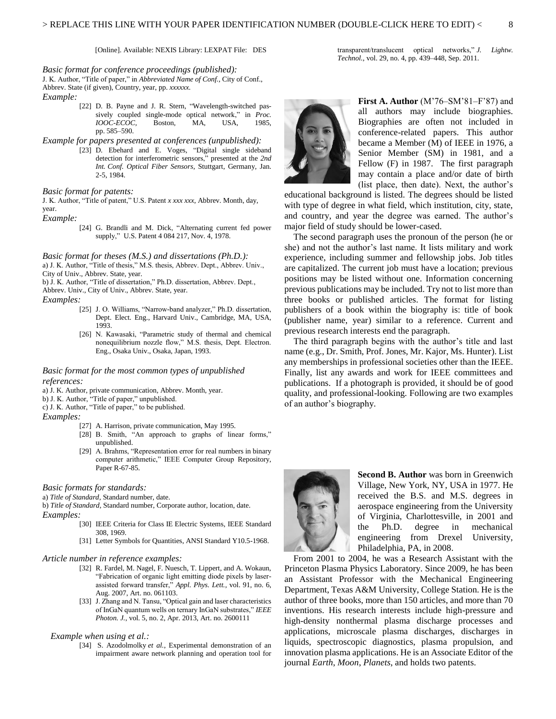[Online]. Available: NEXIS Library: LEXPAT File: DES

*Basic format for conference proceedings (published):*

J. K. Author, "Title of paper," in *Abbreviated Name of Conf.*, City of Conf., Abbrev. State (if given), Country, year, pp. *xxxxxx.*

*Example:*

- [22] D. B. Payne and J. R. Stern, "Wavelength-switched passively coupled single-mode optical network," in *Proc. IOOC-ECOC,* Boston, MA, USA, 1985, pp. 585–590.
- *Example for papers presented at conferences (unpublished):*
	- [23] D. Ebehard and E. Voges, "Digital single sideband detection for interferometric sensors," presented at the *2nd Int. Conf. Optical Fiber Sensors,* Stuttgart, Germany, Jan. 2-5, 1984.

#### *Basic format for patents:*

J. K. Author, "Title of patent," U.S. Patent *x xxx xxx*, Abbrev. Month, day, year.

*Example:*

[24] G. Brandli and M. Dick, "Alternating current fed power supply," U.S. Patent 4 084 217, Nov. 4, 1978.

*Basic format for theses (M.S.) and dissertations (Ph.D.):*

a) J. K. Author, "Title of thesis," M.S. thesis, Abbrev. Dept., Abbrev. Univ., City of Univ., Abbrev. State, year.

b) J. K. Author, "Title of dissertation," Ph.D. dissertation, Abbrev. Dept.,

Abbrev. Univ., City of Univ., Abbrev. State, year.

*Examples:*

- [25] J. O. Williams, "Narrow-band analyzer," Ph.D. dissertation, Dept. Elect. Eng., Harvard Univ., Cambridge, MA, USA, 1993.
- [26] N. Kawasaki, "Parametric study of thermal and chemical nonequilibrium nozzle flow," M.S. thesis, Dept. Electron. Eng., Osaka Univ., Osaka, Japan, 1993.

## *Basic format for the most common types of unpublished references:*

- a) J. K. Author, private communication, Abbrev. Month, year.
- b) J. K. Author, "Title of paper," unpublished.
- c) J. K. Author, "Title of paper," to be published.

*Examples:*

- [27] A. Harrison, private communication, May 1995.
- [28] B. Smith, "An approach to graphs of linear forms," unpublished.
- [29] A. Brahms, "Representation error for real numbers in binary computer arithmetic," IEEE Computer Group Repository, Paper R-67-85.

## *Basic formats for standards:*

a) *Title of Standard*, Standard number, date.

b) *Title of Standard*, Standard number, Corporate author, location, date.

*Examples:*

- [30] IEEE Criteria for Class IE Electric Systems, IEEE Standard 308, 1969.
- [31] Letter Symbols for Quantities, ANSI Standard Y10.5-1968.

## *Article number in reference examples:*

- [32] R. Fardel, M. Nagel, F. Nuesch, T. Lippert, and A. Wokaun, "Fabrication of organic light emitting diode pixels by laserassisted forward transfer," *Appl. Phys. Lett.*, vol. 91, no. 6, Aug. 2007, Art. no. 061103.
- [33] J. Zhang and N. Tansu, "Optical gain and laser characteristics of InGaN quantum wells on ternary InGaN substrates," *IEEE Photon. J.*, vol. 5, no. 2, Apr. 2013, Art. no. 2600111

#### *Example when using et al.:*

[34] S. Azodolmolky *et al.*, Experimental demonstration of an impairment aware network planning and operation tool for transparent/translucent optical networks," *J. Lightw. Technol.*, vol. 29, no. 4, pp. 439–448, Sep. 2011.



**First A. Author** (M'76–SM'81–F'87) and all authors may include biographies. Biographies are often not included in conference-related papers. This author became a Member (M) of IEEE in 1976, a Senior Member (SM) in 1981, and a Fellow (F) in 1987. The first paragraph may contain a place and/or date of birth (list place, then date). Next, the author's

educational background is listed. The degrees should be listed with type of degree in what field, which institution, city, state, and country, and year the degree was earned. The author's major field of study should be lower-cased.

The second paragraph uses the pronoun of the person (he or she) and not the author's last name. It lists military and work experience, including summer and fellowship jobs. Job titles are capitalized. The current job must have a location; previous positions may be listed without one. Information concerning previous publications may be included. Try not to list more than three books or published articles. The format for listing publishers of a book within the biography is: title of book (publisher name, year) similar to a reference. Current and previous research interests end the paragraph.

The third paragraph begins with the author's title and last name (e.g., Dr. Smith, Prof. Jones, Mr. Kajor, Ms. Hunter). List any memberships in professional societies other than the IEEE. Finally, list any awards and work for IEEE committees and publications. If a photograph is provided, it should be of good quality, and professional-looking. Following are two examples of an author's biography.



**Second B. Author** was born in Greenwich Village, New York, NY, USA in 1977. He received the B.S. and M.S. degrees in aerospace engineering from the University of Virginia, Charlottesville, in 2001 and the Ph.D. degree in mechanical engineering from Drexel University, Philadelphia, PA, in 2008.

 From 2001 to 2004, he was a Research Assistant with the Princeton Plasma Physics Laboratory. Since 2009, he has been an Assistant Professor with the Mechanical Engineering Department, Texas A&M University, College Station. He is the author of three books, more than 150 articles, and more than 70 inventions. His research interests include high-pressure and high-density nonthermal plasma discharge processes and applications, microscale plasma discharges, discharges in liquids, spectroscopic diagnostics, plasma propulsion, and innovation plasma applications. He is an Associate Editor of the journal *Earth*, *Moon*, *Planets*, and holds two patents.